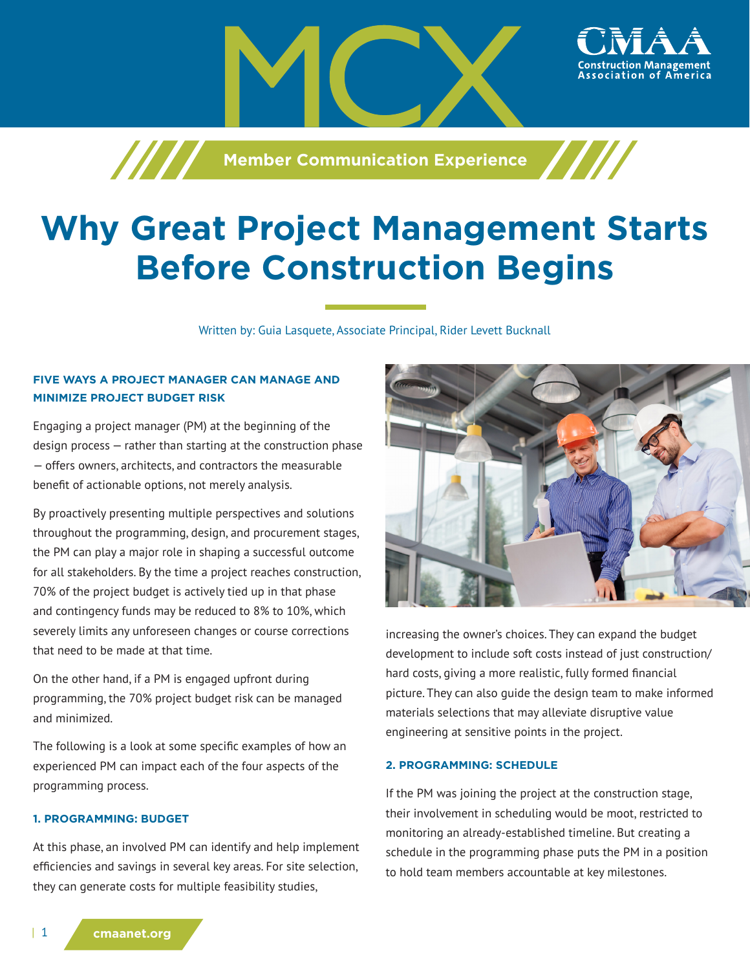

# **Why Great Project Management Starts Before Construction Begins**

Written by: Guia Lasquete, Associate Principal, Rider Levett Bucknall

## **FIVE WAYS A PROJECT MANAGER CAN MANAGE AND MINIMIZE PROJECT BUDGET RISK**

Engaging a project manager (PM) at the beginning of the design process — rather than starting at the construction phase — offers owners, architects, and contractors the measurable benefit of actionable options, not merely analysis.

By proactively presenting multiple perspectives and solutions throughout the programming, design, and procurement stages, the PM can play a major role in shaping a successful outcome for all stakeholders. By the time a project reaches construction, 70% of the project budget is actively tied up in that phase and contingency funds may be reduced to 8% to 10%, which severely limits any unforeseen changes or course corrections that need to be made at that time.

On the other hand, if a PM is engaged upfront during programming, the 70% project budget risk can be managed and minimized.

The following is a look at some specific examples of how an experienced PM can impact each of the four aspects of the programming process.

#### **1. PROGRAMMING: BUDGET**

At this phase, an involved PM can identify and help implement efficiencies and savings in several key areas. For site selection, they can generate costs for multiple feasibility studies,



ssociation of

increasing the owner's choices. They can expand the budget development to include soft costs instead of just construction/ hard costs, giving a more realistic, fully formed financial picture. They can also guide the design team to make informed materials selections that may alleviate disruptive value engineering at sensitive points in the project.

#### **2. PROGRAMMING: SCHEDULE**

If the PM was joining the project at the construction stage, their involvement in scheduling would be moot, restricted to monitoring an already-established timeline. But creating a schedule in the programming phase puts the PM in a position to hold team members accountable at key milestones.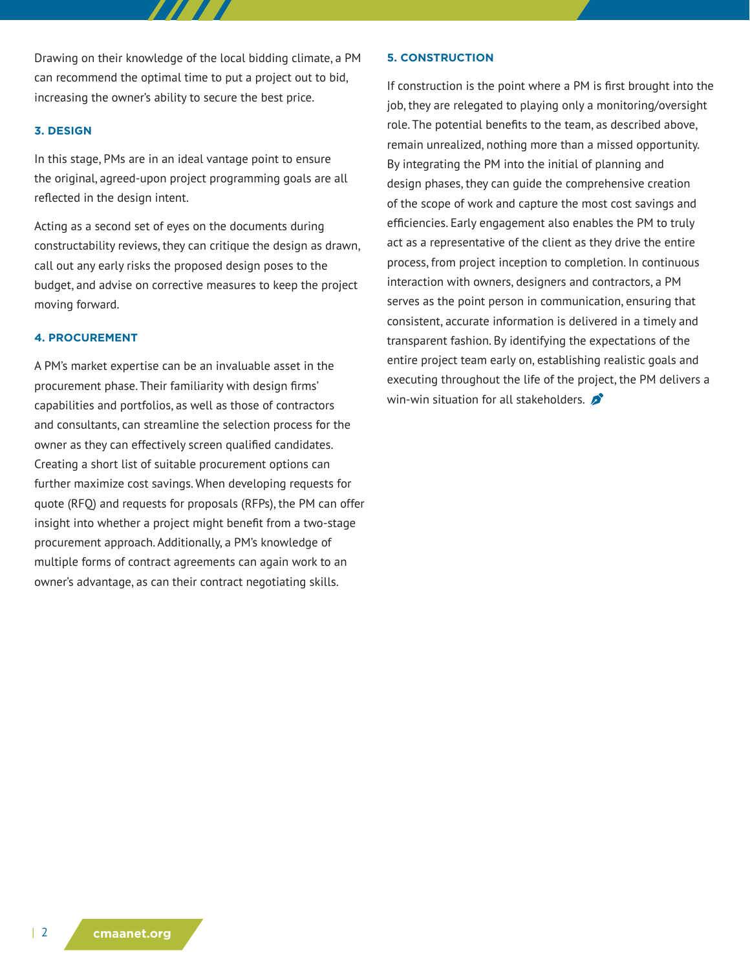Drawing on their knowledge of the local bidding climate, a PM can recommend the optimal time to put a project out to bid, increasing the owner's ability to secure the best price.

#### **3. DESIGN**

In this stage, PMs are in an ideal vantage point to ensure the original, agreed-upon project programming goals are all reflected in the design intent.

Acting as a second set of eyes on the documents during constructability reviews, they can critique the design as drawn, call out any early risks the proposed design poses to the budget, and advise on corrective measures to keep the project moving forward.

#### **4. PROCUREMENT**

A PM's market expertise can be an invaluable asset in the procurement phase. Their familiarity with design firms' capabilities and portfolios, as well as those of contractors and consultants, can streamline the selection process for the owner as they can effectively screen qualified candidates. Creating a short list of suitable procurement options can further maximize cost savings. When developing requests for quote (RFQ) and requests for proposals (RFPs), the PM can offer insight into whether a project might benefit from a two-stage procurement approach. Additionally, a PM's knowledge of multiple forms of contract agreements can again work to an owner's advantage, as can their contract negotiating skills.

#### **5. CONSTRUCTION**

If construction is the point where a PM is first brought into the job, they are relegated to playing only a monitoring/oversight role. The potential benefits to the team, as described above, remain unrealized, nothing more than a missed opportunity. By integrating the PM into the initial of planning and design phases, they can guide the comprehensive creation of the scope of work and capture the most cost savings and efficiencies. Early engagement also enables the PM to truly act as a representative of the client as they drive the entire process, from project inception to completion. In continuous interaction with owners, designers and contractors, a PM serves as the point person in communication, ensuring that consistent, accurate information is delivered in a timely and transparent fashion. By identifying the expectations of the entire project team early on, establishing realistic goals and executing throughout the life of the project, the PM delivers a win-win situation for all stakeholders.  $\mathcal{L}$